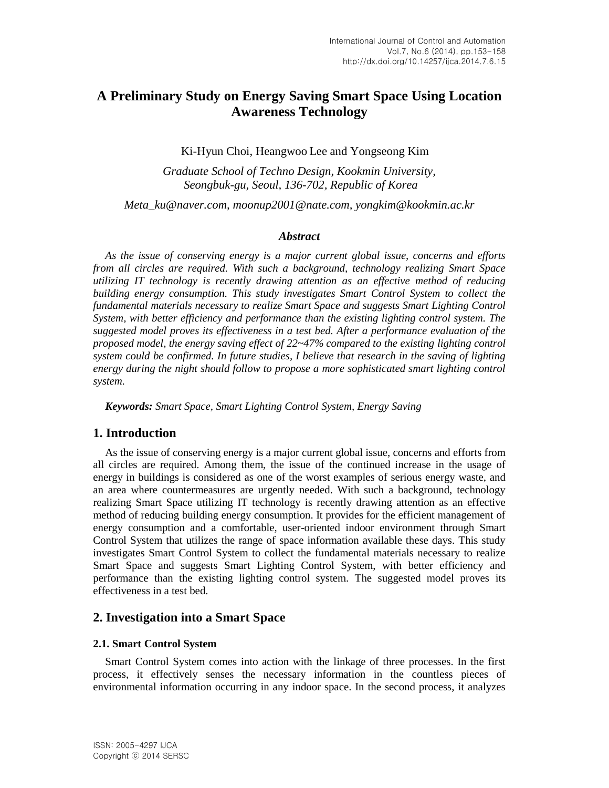# **A Preliminary Study on Energy Saving Smart Space Using Location Awareness Technology**

Ki-Hyun Choi, Heangwoo Lee and Yongseong Kim

*Graduate School of Techno Design, Kookmin University, Seongbuk-gu, Seoul, 136-702, Republic of Korea*

*Meta\_ku@naver.com, moonup2001@nate.com, yongkim@kookmin.ac.kr*

### *Abstract*

*As the issue of conserving energy is a major current global issue, concerns and efforts from all circles are required. With such a background, technology realizing Smart Space utilizing IT technology is recently drawing attention as an effective method of reducing building energy consumption. This study investigates Smart Control System to collect the fundamental materials necessary to realize Smart Space and suggests Smart Lighting Control System, with better efficiency and performance than the existing lighting control system. The suggested model proves its effectiveness in a test bed. After a performance evaluation of the proposed model, the energy saving effect of 22~47% compared to the existing lighting control system could be confirmed. In future studies, I believe that research in the saving of lighting energy during the night should follow to propose a more sophisticated smart lighting control system.*

*Keywords: Smart Space, Smart Lighting Control System, Energy Saving*

## **1. Introduction**

As the issue of conserving energy is a major current global issue, concerns and efforts from all circles are required. Among them, the issue of the continued increase in the usage of energy in buildings is considered as one of the worst examples of serious energy waste, and an area where countermeasures are urgently needed. With such a background, technology realizing Smart Space utilizing IT technology is recently drawing attention as an effective method of reducing building energy consumption. It provides for the efficient management of energy consumption and a comfortable, user-oriented indoor environment through Smart Control System that utilizes the range of space information available these days. This study investigates Smart Control System to collect the fundamental materials necessary to realize Smart Space and suggests Smart Lighting Control System, with better efficiency and performance than the existing lighting control system. The suggested model proves its effectiveness in a test bed.

## **2. Investigation into a Smart Space**

### **2.1. Smart Control System**

Smart Control System comes into action with the linkage of three processes. In the first process, it effectively senses the necessary information in the countless pieces of environmental information occurring in any indoor space. In the second process, it analyzes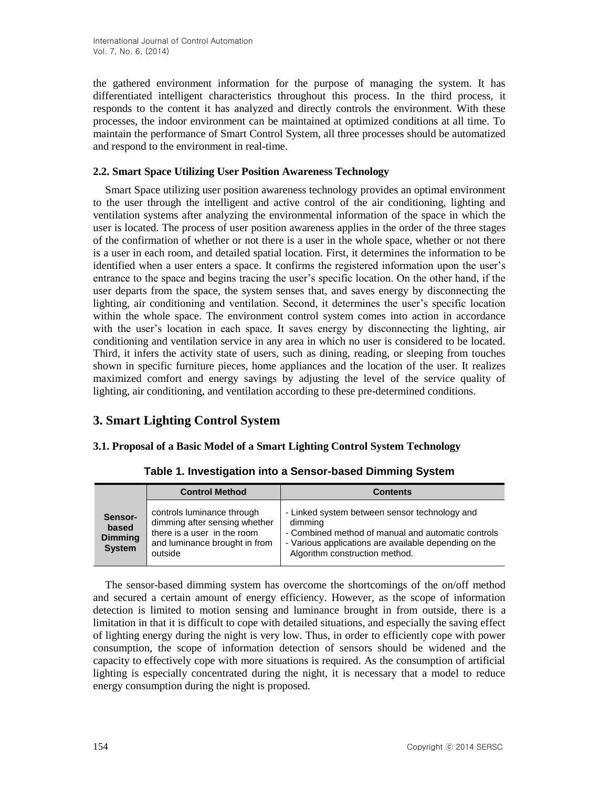the gathered environment information for the purpose of managing the system. It has differentiated intelligent characteristics throughout this process. In the third process, it responds to the content it has analyzed and directly controls the environment. With these processes, the indoor environment can be maintained at optimized conditions at all time. To maintain the performance of Smart Control System, all three processes should be automatized and respond to the environment in real-time.

## **2.2. Smart Space Utilizing User Position Awareness Technology**

Smart Space utilizing user position awareness technology provides an optimal environment to the user through the intelligent and active control of the air conditioning, lighting and ventilation systems after analyzing the environmental information of the space in which the user is located. The process of user position awareness applies in the order of the three stages of the confirmation of whether or not there is a user in the whole space, whether or not there is a user in each room, and detailed spatial location. First, it determines the information to be identified when a user enters a space. It confirms the registered information upon the user's entrance to the space and begins tracing the user's specific location. On the other hand, if the user departs from the space, the system senses that, and saves energy by disconnecting the lighting, air conditioning and ventilation. Second, it determines the user's specific location within the whole space. The environment control system comes into action in accordance with the user's location in each space. It saves energy by disconnecting the lighting, air conditioning and ventilation service in any area in which no user is considered to be located. Third, it infers the activity state of users, such as dining, reading, or sleeping from touches shown in specific furniture pieces, home appliances and the location of the user. It realizes maximized comfort and energy savings by adjusting the level of the service quality of lighting, air conditioning, and ventilation according to these pre-determined conditions.

## **3. Smart Lighting Control System**

## **3.1. Proposal of a Basic Model of a Smart Lighting Control System Technology**

|                                                     | <b>Control Method</b>                                                                                                                  | <b>Contents</b>                                                                                                                                                                                           |
|-----------------------------------------------------|----------------------------------------------------------------------------------------------------------------------------------------|-----------------------------------------------------------------------------------------------------------------------------------------------------------------------------------------------------------|
| Sensor-<br>based<br><b>Dimming</b><br><b>System</b> | controls luminance through<br>dimming after sensing whether<br>there is a user in the room<br>and luminance brought in from<br>outside | - Linked system between sensor technology and<br>dimming<br>- Combined method of manual and automatic controls<br>- Various applications are available depending on the<br>Algorithm construction method. |

**Table 1. Investigation into a Sensor-based Dimming System**

The sensor-based dimming system has overcome the shortcomings of the on/off method and secured a certain amount of energy efficiency. However, as the scope of information detection is limited to motion sensing and luminance brought in from outside, there is a limitation in that it is difficult to cope with detailed situations, and especially the saving effect of lighting energy during the night is very low. Thus, in order to efficiently cope with power consumption, the scope of information detection of sensors should be widened and the capacity to effectively cope with more situations is required. As the consumption of artificial lighting is especially concentrated during the night, it is necessary that a model to reduce energy consumption during the night is proposed.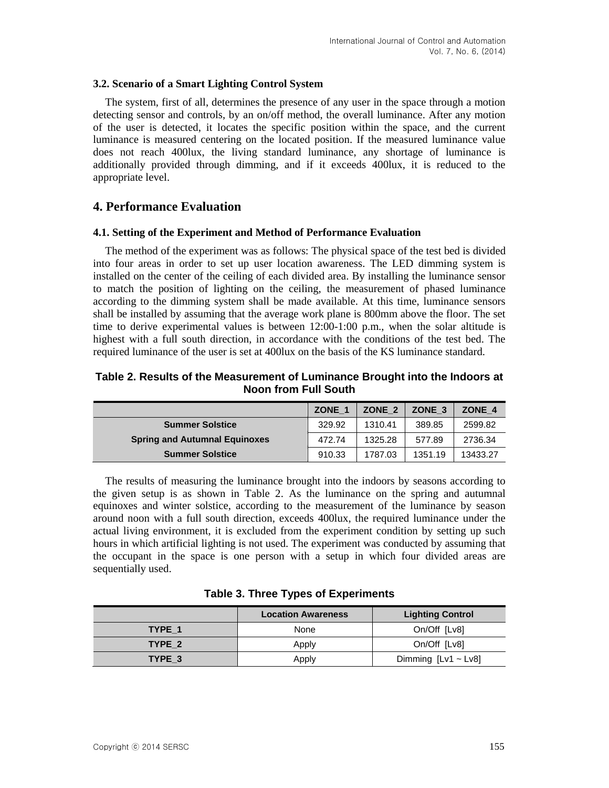#### **3.2. Scenario of a Smart Lighting Control System**

The system, first of all, determines the presence of any user in the space through a motion detecting sensor and controls, by an on/off method, the overall luminance. After any motion of the user is detected, it locates the specific position within the space, and the current luminance is measured centering on the located position. If the measured luminance value does not reach 400lux, the living standard luminance, any shortage of luminance is additionally provided through dimming, and if it exceeds 400lux, it is reduced to the appropriate level.

## **4. Performance Evaluation**

#### **4.1. Setting of the Experiment and Method of Performance Evaluation**

The method of the experiment was as follows: The physical space of the test bed is divided into four areas in order to set up user location awareness. The LED dimming system is installed on the center of the ceiling of each divided area. By installing the luminance sensor to match the position of lighting on the ceiling, the measurement of phased luminance according to the dimming system shall be made available. At this time, luminance sensors shall be installed by assuming that the average work plane is 800mm above the floor. The set time to derive experimental values is between 12:00-1:00 p.m., when the solar altitude is highest with a full south direction, in accordance with the conditions of the test bed. The required luminance of the user is set at 400lux on the basis of the KS luminance standard.

#### **Table 2. Results of the Measurement of Luminance Brought into the Indoors at Noon from Full South**

|                                      | ZONE 1 | ZONE 2  | ZONE 3  | ZONE 4   |
|--------------------------------------|--------|---------|---------|----------|
| <b>Summer Solstice</b>               | 329.92 | 1310.41 | 389.85  | 2599.82  |
| <b>Spring and Autumnal Equinoxes</b> | 472.74 | 1325.28 | 577.89  | 2736.34  |
| <b>Summer Solstice</b>               | 910.33 | 1787.03 | 1351.19 | 13433.27 |

The results of measuring the luminance brought into the indoors by seasons according to the given setup is as shown in Table 2. As the luminance on the spring and autumnal equinoxes and winter solstice, according to the measurement of the luminance by season around noon with a full south direction, exceeds 400lux, the required luminance under the actual living environment, it is excluded from the experiment condition by setting up such hours in which artificial lighting is not used. The experiment was conducted by assuming that the occupant in the space is one person with a setup in which four divided areas are sequentially used.

|  |  | Table 3. Three Types of Experiments |
|--|--|-------------------------------------|
|--|--|-------------------------------------|

|        | <b>Location Awareness</b> | <b>Lighting Control</b> |
|--------|---------------------------|-------------------------|
| TYPE 1 | None                      | On/Off [Lv8]            |
| TYPE 2 | Apply                     | On/Off [Lv8]            |
| TYPE 3 | Apply                     | Dimming $[Lv1 - Lv8]$   |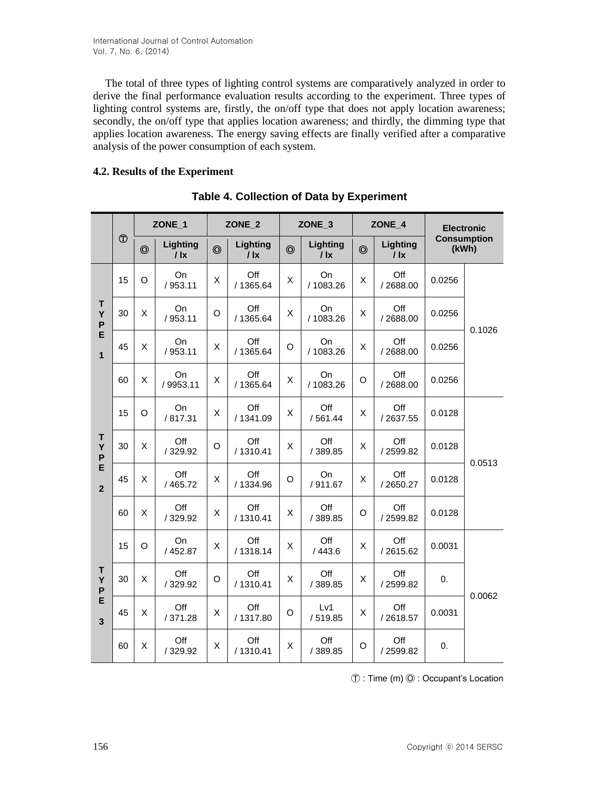The total of three types of lighting control systems are comparatively analyzed in order to derive the final performance evaluation results according to the experiment. Three types of lighting control systems are, firstly, the on/off type that does not apply location awareness; secondly, the on/off type that applies location awareness; and thirdly, the dimming type that applies location awareness. The energy saving effects are finally verified after a comparative analysis of the power consumption of each system.

## **4.2. Results of the Experiment**

|                                    |                |                | ZONE_1                    | ZONE <sub>2</sub> |                           | ZONE <sub>3</sub> |                           | ZONE_4  |                           | <b>Electronic</b>           |        |
|------------------------------------|----------------|----------------|---------------------------|-------------------|---------------------------|-------------------|---------------------------|---------|---------------------------|-----------------------------|--------|
|                                    | $^{\circledR}$ | $\circledcirc$ | Lighting<br>$\frac{1}{x}$ | $\odot$           | Lighting<br>$\frac{1}{x}$ | $\odot$           | Lighting<br>$\frac{1}{x}$ | $\odot$ | Lighting<br>$\frac{1}{x}$ | <b>Consumption</b><br>(kWh) |        |
| т<br>Y<br>P<br>E<br>$\mathbf{1}$   | 15             | O              | On<br>/953.11             | X                 | Off<br>/ 1365.64          | Χ                 | On<br>/1083.26            | X       | Off<br>/2688.00           | 0.0256                      | 0.1026 |
|                                    | 30             | X              | On<br>/953.11             | O                 | Off<br>/ 1365.64          | X                 | On<br>/1083.26            | X       | Off<br>/2688.00           | 0.0256                      |        |
|                                    | 45             | X              | On<br>/953.11             | X                 | Off<br>/ 1365.64          | $\circ$           | On<br>/ 1083.26           | X       | Off<br>/2688.00           | 0.0256                      |        |
|                                    | 60             | X              | On<br>/9953.11            | X                 | Off<br>/ 1365.64          | X                 | On<br>/1083.26            | O       | Off<br>/2688.00           | 0.0256                      |        |
| T<br>Y<br>P<br>E<br>$\overline{2}$ | 15             | $\circ$        | On<br>/ 817.31            | X                 | Off<br>/ 1341.09          | X                 | Off<br>/ 561.44           | X       | Off<br>/2637.55           | 0.0128                      | 0.0513 |
|                                    | 30             | X              | Off<br>/ 329.92           | O                 | Off<br>/ 1310.41          | X                 | Off<br>/ 389.85           | X       | Off<br>/2599.82           | 0.0128                      |        |
|                                    | 45             | Χ              | Off<br>/ 465.72           | X                 | Off<br>/ 1334.96          | $\circ$           | On<br>/911.67             | X       | Off<br>/2650.27           | 0.0128                      |        |
|                                    | 60             | Χ              | Off<br>/ 329.92           | Χ                 | Off<br>/ 1310.41          | Χ                 | Off<br>/389.85            | O       | Off<br>/2599.82           | 0.0128                      |        |
| T<br>Y<br>P<br>E<br>$\overline{3}$ | 15             | O              | On<br>/ 452.87            | X                 | Off<br>/ 1318.14          | X                 | Off<br>/443.6             | Χ       | Off<br>/2615.62           | 0.0031                      | 0.0062 |
|                                    | 30             | X              | Off<br>/ 329.92           | $\circ$           | Off<br>/ 1310.41          | Χ                 | Off<br>/389.85            | X       | Off<br>/2599.82           | 0.                          |        |
|                                    | 45             | X              | Off<br>/ 371.28           | X                 | Off<br>/ 1317.80          | O                 | Lv1<br>/519.85            | Χ       | Off<br>/2618.57           | 0.0031                      |        |
|                                    | 60             | X              | Off<br>/ 329.92           | X                 | Off<br>/ 1310.41          | X                 | Off<br>/389.85            | O       | Off<br>/2599.82           | 0.                          |        |

**Table 4. Collection of Data by Experiment**

Ⓣ : Time (m) Ⓞ : Occupant's Location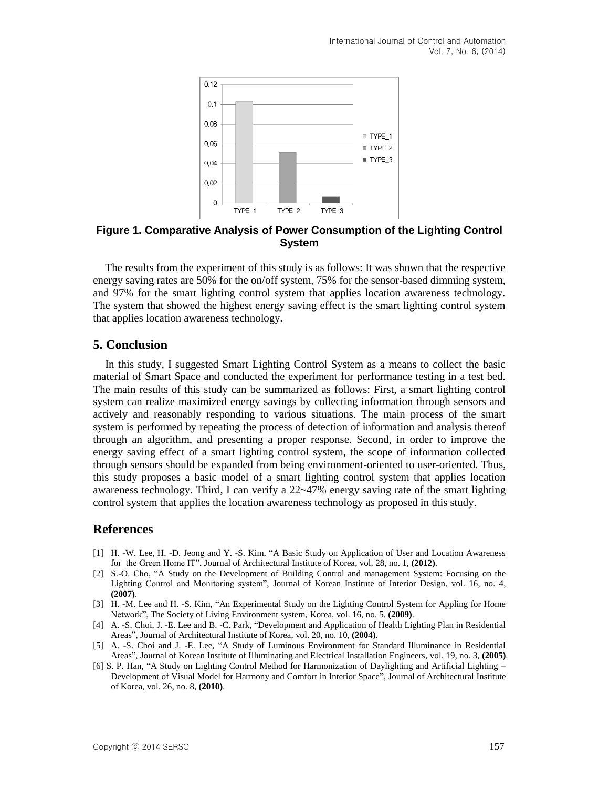

**Figure 1. Comparative Analysis of Power Consumption of the Lighting Control System**

The results from the experiment of this study is as follows: It was shown that the respective energy saving rates are 50% for the on/off system, 75% for the sensor-based dimming system, and 97% for the smart lighting control system that applies location awareness technology. The system that showed the highest energy saving effect is the smart lighting control system that applies location awareness technology.

## **5. Conclusion**

In this study, I suggested Smart Lighting Control System as a means to collect the basic material of Smart Space and conducted the experiment for performance testing in a test bed. The main results of this study can be summarized as follows: First, a smart lighting control system can realize maximized energy savings by collecting information through sensors and actively and reasonably responding to various situations. The main process of the smart system is performed by repeating the process of detection of information and analysis thereof through an algorithm, and presenting a proper response. Second, in order to improve the energy saving effect of a smart lighting control system, the scope of information collected through sensors should be expanded from being environment-oriented to user-oriented. Thus, this study proposes a basic model of a smart lighting control system that applies location awareness technology. Third, I can verify a 22~47% energy saving rate of the smart lighting control system that applies the location awareness technology as proposed in this study.

### **References**

- [1] H. -W. Lee, H. -D. Jeong and Y. -S. Kim, "A Basic Study on Application of User and Location Awareness for the Green Home IT", Journal of Architectural Institute of Korea, vol. 28, no. 1, **(2012)**.
- [2] S.-O. Cho, "A Study on the Development of Building Control and management System: Focusing on the Lighting Control and Monitoring system", Journal of Korean Institute of Interior Design, vol. 16, no. 4, **(2007)**.
- [3] H. -M. Lee and H. -S. Kim, "An Experimental Study on the Lighting Control System for Appling for Home Network", The Society of Living Environment system, Korea, vol. 16, no. 5, **(2009)**.
- [4] A. -S. Choi, J. -E. Lee and B. -C. Park, "Development and Application of Health Lighting Plan in Residential Areas", Journal of Architectural Institute of Korea, vol. 20, no. 10, **(2004)**.
- [5] A. -S. Choi and J. -E. Lee, "A Study of Luminous Environment for Standard Illuminance in Residential Areas", Journal of Korean Institute of Illuminating and Electrical Installation Engineers, vol. 19, no. 3, **(2005)**.
- [6] S. P. Han, "A Study on Lighting Control Method for Harmonization of Daylighting and Artificial Lighting Development of Visual Model for Harmony and Comfort in Interior Space", Journal of Architectural Institute of Korea, vol. 26, no. 8, **(2010)**.